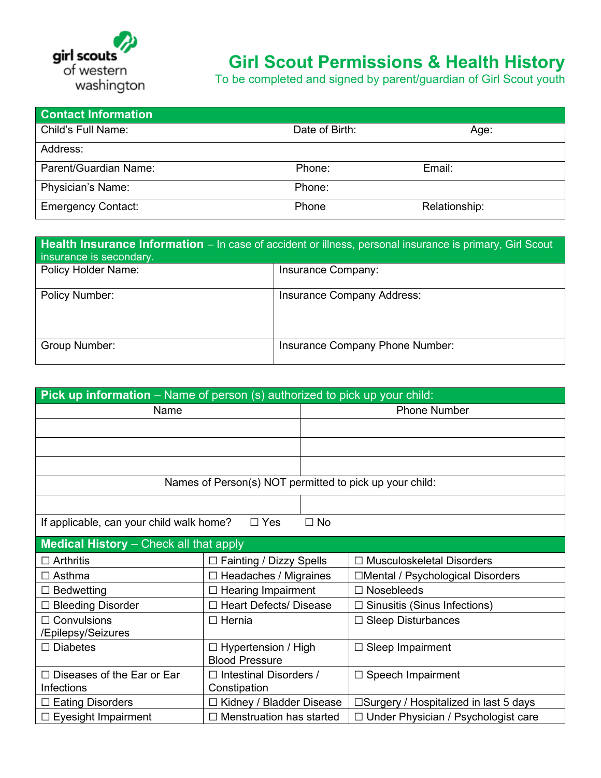

## **Girl Scout Permissions & Health History**

To be completed and signed by parent/guardian of Girl Scout youth

| <b>Contact Information</b> |                |               |
|----------------------------|----------------|---------------|
| Child's Full Name:         | Date of Birth: | Age:          |
| Address:                   |                |               |
| Parent/Guardian Name:      | Phone:         | Email:        |
| Physician's Name:          | Phone:         |               |
| <b>Emergency Contact:</b>  | Phone          | Relationship: |

| Health Insurance Information - In case of accident or illness, personal insurance is primary, Girl Scout<br>insurance is secondary. |                                   |  |  |
|-------------------------------------------------------------------------------------------------------------------------------------|-----------------------------------|--|--|
| <b>Policy Holder Name:</b>                                                                                                          | Insurance Company:                |  |  |
| Policy Number:                                                                                                                      | <b>Insurance Company Address:</b> |  |  |
| Group Number:                                                                                                                       | Insurance Company Phone Number:   |  |  |

| Pick up information - Name of person (s) authorized to pick up your child: |                                                         |                     |                                            |  |
|----------------------------------------------------------------------------|---------------------------------------------------------|---------------------|--------------------------------------------|--|
| Name                                                                       |                                                         | <b>Phone Number</b> |                                            |  |
|                                                                            |                                                         |                     |                                            |  |
|                                                                            |                                                         |                     |                                            |  |
|                                                                            |                                                         |                     |                                            |  |
|                                                                            | Names of Person(s) NOT permitted to pick up your child: |                     |                                            |  |
|                                                                            |                                                         |                     |                                            |  |
| If applicable, can your child walk home?                                   | $\Box$ Yes                                              | $\Box$ No           |                                            |  |
| <b>Medical History</b> - Check all that apply                              |                                                         |                     |                                            |  |
| $\Box$ Arthritis                                                           | $\Box$ Fainting / Dizzy Spells                          |                     | $\Box$ Musculoskeletal Disorders           |  |
| $\Box$ Asthma                                                              | $\Box$ Headaches / Migraines                            |                     | □Mental / Psychological Disorders          |  |
| $\Box$ Bedwetting                                                          | <b>Hearing Impairment</b>                               |                     | <b>Nosebleeds</b><br>П                     |  |
| $\Box$ Bleeding Disorder                                                   | □ Heart Defects/ Disease                                |                     | Sinusitis (Sinus Infections)<br>П          |  |
| $\Box$ Convulsions                                                         | $\Box$ Hernia                                           |                     | <b>Sleep Disturbances</b><br>$\Box$        |  |
| /Epilepsy/Seizures                                                         |                                                         |                     |                                            |  |
| $\Box$ Diabetes                                                            | $\Box$ Hypertension / High                              |                     | Sleep Impairment<br>□                      |  |
|                                                                            | <b>Blood Pressure</b>                                   |                     |                                            |  |
| $\Box$ Diseases of the Ear or Ear                                          | $\Box$ Intestinal Disorders /                           |                     | $\Box$ Speech Impairment                   |  |
| Infections                                                                 | Constipation                                            |                     |                                            |  |
| $\Box$ Eating Disorders                                                    | □ Kidney / Bladder Disease                              |                     | □Surgery / Hospitalized in last 5 days     |  |
| $\Box$ Eyesight Impairment                                                 | $\Box$ Menstruation has started                         |                     | $\Box$ Under Physician / Psychologist care |  |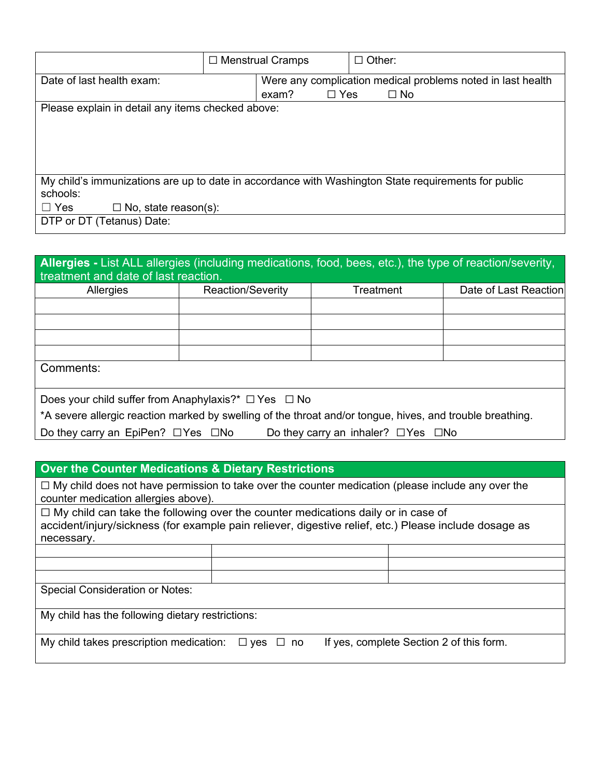|                                                                                                     | $\Box$ Menstrual Cramps |            | $\Box$ Other:                                               |  |
|-----------------------------------------------------------------------------------------------------|-------------------------|------------|-------------------------------------------------------------|--|
| Date of last health exam:                                                                           |                         |            | Were any complication medical problems noted in last health |  |
|                                                                                                     | exam?                   | $\Box$ Yes | $\Box$ No                                                   |  |
| Please explain in detail any items checked above:                                                   |                         |            |                                                             |  |
|                                                                                                     |                         |            |                                                             |  |
|                                                                                                     |                         |            |                                                             |  |
|                                                                                                     |                         |            |                                                             |  |
|                                                                                                     |                         |            |                                                             |  |
| My child's immunizations are up to date in accordance with Washington State requirements for public |                         |            |                                                             |  |
| schools:                                                                                            |                         |            |                                                             |  |
| $\Box$ No, state reason(s):<br>$\Box$ Yes                                                           |                         |            |                                                             |  |
| DTP or DT (Tetanus) Date:                                                                           |                         |            |                                                             |  |

| Allergies - List ALL allergies (including medications, food, bees, etc.), the type of reaction/severity,<br>treatment and date of last reaction. |                          |           |                       |  |  |
|--------------------------------------------------------------------------------------------------------------------------------------------------|--------------------------|-----------|-----------------------|--|--|
| Allergies                                                                                                                                        | <b>Reaction/Severity</b> | Treatment | Date of Last Reaction |  |  |
|                                                                                                                                                  |                          |           |                       |  |  |
|                                                                                                                                                  |                          |           |                       |  |  |
|                                                                                                                                                  |                          |           |                       |  |  |
|                                                                                                                                                  |                          |           |                       |  |  |
| Comments:                                                                                                                                        |                          |           |                       |  |  |
| Does your child suffer from Anaphylaxis?* $\Box$ Yes $\Box$ No                                                                                   |                          |           |                       |  |  |
| *A severe allergic reaction marked by swelling of the throat and/or tongue, hives, and trouble breathing.                                        |                          |           |                       |  |  |
| Do they carry an EpiPen? $\Box$ Yes $\Box$ No<br>Do they carry an inhaler? $\Box$ Yes $\Box$ No                                                  |                          |           |                       |  |  |

## **Over the Counter Medications & Dietary Restrictions**

☐ My child does not have permission to take over the counter medication (please include any over the counter medication allergies above).

☐ My child can take the following over the counter medications daily or in case of accident/injury/sickness (for example pain reliever, digestive relief, etc.) Please include dosage as necessary.

Special Consideration or Notes:

My child has the following dietary restrictions:

My child takes prescription medication:  $□$  yes  $□$  no If yes, complete Section 2 of this form.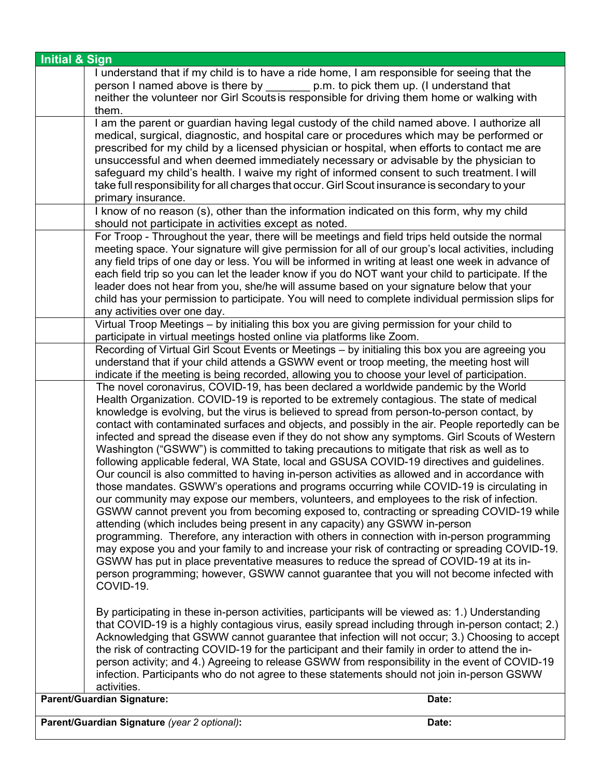| <b>Initial &amp; Sign</b>                                                                                                                                                                                                                                                                                                                                                                                                                                                                                                                                                                                                                                                                                                                                                                                                                                                                                                                                                                                                                                                                                                                                                                                                                                                                                                                                                                                                                                                                                                                                                                                                                                                                                                                                                                                                                                                                                                                          |       |
|----------------------------------------------------------------------------------------------------------------------------------------------------------------------------------------------------------------------------------------------------------------------------------------------------------------------------------------------------------------------------------------------------------------------------------------------------------------------------------------------------------------------------------------------------------------------------------------------------------------------------------------------------------------------------------------------------------------------------------------------------------------------------------------------------------------------------------------------------------------------------------------------------------------------------------------------------------------------------------------------------------------------------------------------------------------------------------------------------------------------------------------------------------------------------------------------------------------------------------------------------------------------------------------------------------------------------------------------------------------------------------------------------------------------------------------------------------------------------------------------------------------------------------------------------------------------------------------------------------------------------------------------------------------------------------------------------------------------------------------------------------------------------------------------------------------------------------------------------------------------------------------------------------------------------------------------------|-------|
| I understand that if my child is to have a ride home, I am responsible for seeing that the<br>person I named above is there by p.m. to pick them up. (I understand that<br>neither the volunteer nor Girl Scouts is responsible for driving them home or walking with<br>them.                                                                                                                                                                                                                                                                                                                                                                                                                                                                                                                                                                                                                                                                                                                                                                                                                                                                                                                                                                                                                                                                                                                                                                                                                                                                                                                                                                                                                                                                                                                                                                                                                                                                     |       |
| I am the parent or guardian having legal custody of the child named above. I authorize all<br>medical, surgical, diagnostic, and hospital care or procedures which may be performed or<br>prescribed for my child by a licensed physician or hospital, when efforts to contact me are<br>unsuccessful and when deemed immediately necessary or advisable by the physician to<br>safeguard my child's health. I waive my right of informed consent to such treatment. I will<br>take full responsibility for all charges that occur. Girl Scout insurance is secondary to your<br>primary insurance.                                                                                                                                                                                                                                                                                                                                                                                                                                                                                                                                                                                                                                                                                                                                                                                                                                                                                                                                                                                                                                                                                                                                                                                                                                                                                                                                                |       |
| I know of no reason (s), other than the information indicated on this form, why my child<br>should not participate in activities except as noted.                                                                                                                                                                                                                                                                                                                                                                                                                                                                                                                                                                                                                                                                                                                                                                                                                                                                                                                                                                                                                                                                                                                                                                                                                                                                                                                                                                                                                                                                                                                                                                                                                                                                                                                                                                                                  |       |
| For Troop - Throughout the year, there will be meetings and field trips held outside the normal<br>meeting space. Your signature will give permission for all of our group's local activities, including<br>any field trips of one day or less. You will be informed in writing at least one week in advance of<br>each field trip so you can let the leader know if you do NOT want your child to participate. If the<br>leader does not hear from you, she/he will assume based on your signature below that your<br>child has your permission to participate. You will need to complete individual permission slips for<br>any activities over one day.                                                                                                                                                                                                                                                                                                                                                                                                                                                                                                                                                                                                                                                                                                                                                                                                                                                                                                                                                                                                                                                                                                                                                                                                                                                                                         |       |
| Virtual Troop Meetings - by initialing this box you are giving permission for your child to                                                                                                                                                                                                                                                                                                                                                                                                                                                                                                                                                                                                                                                                                                                                                                                                                                                                                                                                                                                                                                                                                                                                                                                                                                                                                                                                                                                                                                                                                                                                                                                                                                                                                                                                                                                                                                                        |       |
| participate in virtual meetings hosted online via platforms like Zoom.<br>Recording of Virtual Girl Scout Events or Meetings - by initialing this box you are agreeing you<br>understand that if your child attends a GSWW event or troop meeting, the meeting host will<br>indicate if the meeting is being recorded, allowing you to choose your level of participation.<br>The novel coronavirus, COVID-19, has been declared a worldwide pandemic by the World<br>Health Organization. COVID-19 is reported to be extremely contagious. The state of medical<br>knowledge is evolving, but the virus is believed to spread from person-to-person contact, by<br>contact with contaminated surfaces and objects, and possibly in the air. People reportedly can be<br>infected and spread the disease even if they do not show any symptoms. Girl Scouts of Western<br>Washington ("GSWW") is committed to taking precautions to mitigate that risk as well as to<br>following applicable federal, WA State, local and GSUSA COVID-19 directives and guidelines.<br>Our council is also committed to having in-person activities as allowed and in accordance with<br>those mandates. GSWW's operations and programs occurring while COVID-19 is circulating in<br>our community may expose our members, volunteers, and employees to the risk of infection.<br>GSWW cannot prevent you from becoming exposed to, contracting or spreading COVID-19 while<br>attending (which includes being present in any capacity) any GSWW in-person<br>programming. Therefore, any interaction with others in connection with in-person programming<br>may expose you and your family to and increase your risk of contracting or spreading COVID-19.<br>GSWW has put in place preventative measures to reduce the spread of COVID-19 at its in-<br>person programming; however, GSWW cannot guarantee that you will not become infected with<br>COVID-19. |       |
| By participating in these in-person activities, participants will be viewed as: 1.) Understanding<br>that COVID-19 is a highly contagious virus, easily spread including through in-person contact; 2.)<br>Acknowledging that GSWW cannot guarantee that infection will not occur; 3.) Choosing to accept<br>the risk of contracting COVID-19 for the participant and their family in order to attend the in-<br>person activity; and 4.) Agreeing to release GSWW from responsibility in the event of COVID-19<br>infection. Participants who do not agree to these statements should not join in-person GSWW<br>activities.                                                                                                                                                                                                                                                                                                                                                                                                                                                                                                                                                                                                                                                                                                                                                                                                                                                                                                                                                                                                                                                                                                                                                                                                                                                                                                                      |       |
| <b>Parent/Guardian Signature:</b>                                                                                                                                                                                                                                                                                                                                                                                                                                                                                                                                                                                                                                                                                                                                                                                                                                                                                                                                                                                                                                                                                                                                                                                                                                                                                                                                                                                                                                                                                                                                                                                                                                                                                                                                                                                                                                                                                                                  | Date: |
| Parent/Guardian Signature (year 2 optional):                                                                                                                                                                                                                                                                                                                                                                                                                                                                                                                                                                                                                                                                                                                                                                                                                                                                                                                                                                                                                                                                                                                                                                                                                                                                                                                                                                                                                                                                                                                                                                                                                                                                                                                                                                                                                                                                                                       | Date: |